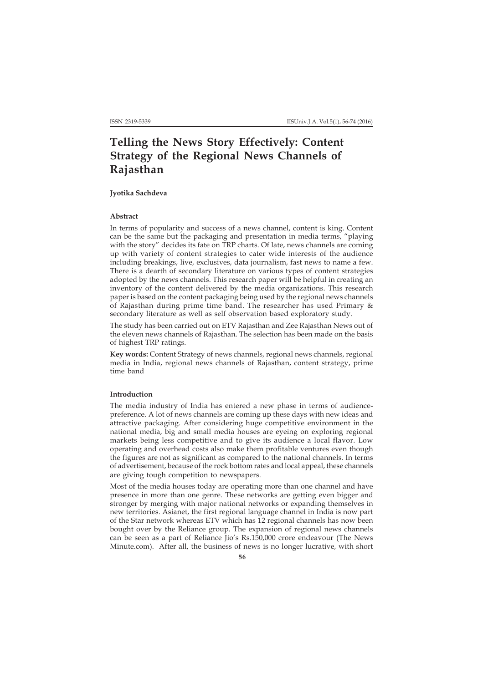# **Telling the News Story Effectively: Content Strategy of the Regional News Channels of Rajasthan**

**Jyotika Sachdeva**

# **Abstract**

In terms of popularity and success of a news channel, content is king. Content can be the same but the packaging and presentation in media terms, "playing with the story" decides its fate on TRP charts. Of late, news channels are coming up with variety of content strategies to cater wide interests of the audience including breakings, live, exclusives, data journalism, fast news to name a few. There is a dearth of secondary literature on various types of content strategies adopted by the news channels. This research paper will be helpful in creating an inventory of the content delivered by the media organizations. This research paper is based on the content packaging being used by the regional news channels of Rajasthan during prime time band. The researcher has used Primary & secondary literature as well as self observation based exploratory study.

The study has been carried out on ETV Rajasthan and Zee Rajasthan News out of the eleven news channels of Rajasthan. The selection has been made on the basis of highest TRP ratings.

**Key words:** Content Strategy of news channels, regional news channels, regional media in India, regional news channels of Rajasthan, content strategy, prime time band

# **Introduction**

The media industry of India has entered a new phase in terms of audiencepreference. A lot of news channels are coming up these days with new ideas and attractive packaging. After considering huge competitive environment in the national media, big and small media houses are eyeing on exploring regional markets being less competitive and to give its audience a local flavor. Low operating and overhead costs also make them profitable ventures even though the figures are not as significant as compared to the national channels. In terms of advertisement, because of the rock bottom rates and local appeal, these channels are giving tough competition to newspapers.

Most of the media houses today are operating more than one channel and have presence in more than one genre. These networks are getting even bigger and stronger by merging with major national networks or expanding themselves in new territories. Asianet, the first regional language channel in India is now part of the Star network whereas ETV which has 12 regional channels has now been bought over by the Reliance group. The expansion of regional news channels can be seen as a part of Reliance Jio's Rs.150,000 crore endeavour (The News Minute.com). After all, the business of news is no longer lucrative, with short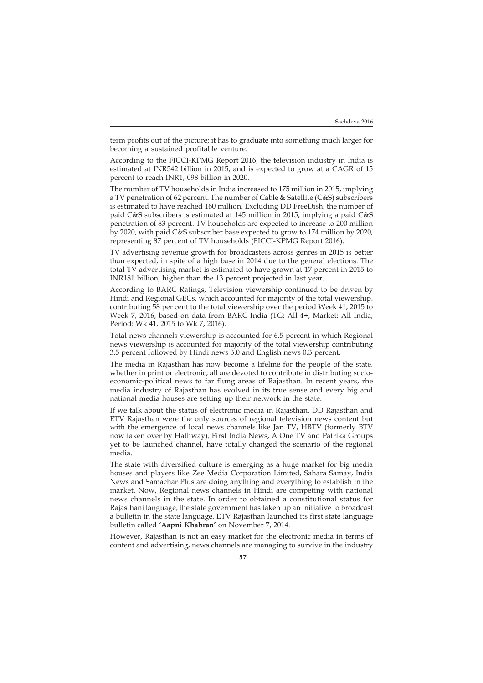term profits out of the picture; it has to graduate into something much larger for becoming a sustained profitable venture.

According to the FICCI-KPMG Report 2016, the television industry in India is estimated at INR542 billion in 2015, and is expected to grow at a CAGR of 15 percent to reach INR1, 098 billion in 2020.

The number of TV households in India increased to 175 million in 2015, implying a TV penetration of 62 percent. The number of Cable & Satellite (C&S) subscribers is estimated to have reached 160 million. Excluding DD FreeDish, the number of paid C&S subscribers is estimated at 145 million in 2015, implying a paid C&S penetration of 83 percent. TV households are expected to increase to 200 million by 2020, with paid C&S subscriber base expected to grow to 174 million by 2020, representing 87 percent of TV households (FICCI-KPMG Report 2016).

TV advertising revenue growth for broadcasters across genres in 2015 is better than expected, in spite of a high base in 2014 due to the general elections. The total TV advertising market is estimated to have grown at 17 percent in 2015 to INR181 billion, higher than the 13 percent projected in last year.

According to BARC Ratings, Television viewership continued to be driven by Hindi and Regional GECs, which accounted for majority of the total viewership, contributing 58 per cent to the total viewership over the period Week 41, 2015 to Week 7, 2016, based on data from BARC India (TG: All 4+, Market: All India, Period: Wk 41, 2015 to Wk 7, 2016).

Total news channels viewership is accounted for 6.5 percent in which Regional news viewership is accounted for majority of the total viewership contributing 3.5 percent followed by Hindi news 3.0 and English news 0.3 percent.

The media in Rajasthan has now become a lifeline for the people of the state, whether in print or electronic; all are devoted to contribute in distributing socioeconomic-political news to far flung areas of Rajasthan. In recent years, rhe media industry of Rajasthan has evolved in its true sense and every big and national media houses are setting up their network in the state.

If we talk about the status of electronic media in Rajasthan, DD Rajasthan and ETV Rajasthan were the only sources of regional television news content but with the emergence of local news channels like Jan TV, HBTV (formerly BTV now taken over by Hathway), First India News, A One TV and Patrika Groups yet to be launched channel, have totally changed the scenario of the regional media.

The state with diversified culture is emerging as a huge market for big media houses and players like Zee Media Corporation Limited, Sahara Samay, India News and Samachar Plus are doing anything and everything to establish in the market. Now, Regional news channels in Hindi are competing with national news channels in the state. In order to obtained a constitutional status for Rajasthani language, the state government has taken up an initiative to broadcast a bulletin in the state language. ETV Rajasthan launched its first state language bulletin called **'Aapni Khabran'** on November 7, 2014.

However, Rajasthan is not an easy market for the electronic media in terms of content and advertising, news channels are managing to survive in the industry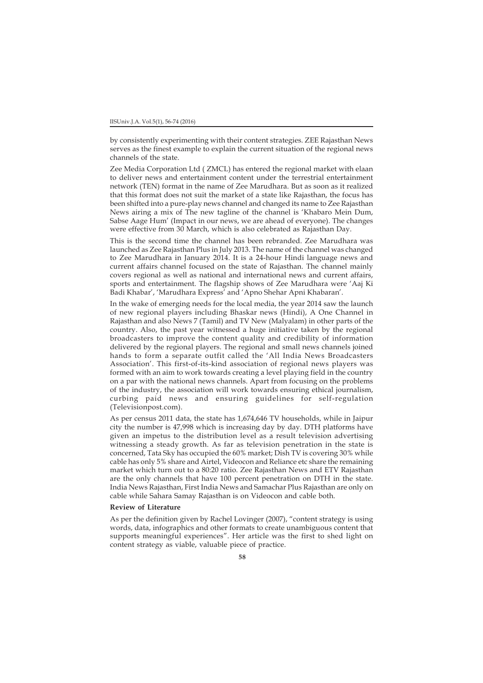by consistently experimenting with their content strategies. ZEE Rajasthan News serves as the finest example to explain the current situation of the regional news channels of the state.

Zee Media Corporation Ltd ( ZMCL) has entered the regional market with elaan to deliver news and entertainment content under the terrestrial entertainment network (TEN) format in the name of Zee Marudhara. But as soon as it realized that this format does not suit the market of a state like Rajasthan, the focus has been shifted into a pure-play news channel and changed its name to Zee Rajasthan News airing a mix of The new tagline of the channel is 'Khabaro Mein Dum, Sabse Aage Hum' (Impact in our news, we are ahead of everyone). The changes were effective from 30 March, which is also celebrated as Rajasthan Day.

This is the second time the channel has been rebranded. Zee Marudhara was launched as Zee Rajasthan Plus in July 2013. The name of the channel was changed to Zee Marudhara in January 2014. It is a 24-hour Hindi language news and current affairs channel focused on the state of Rajasthan. The channel mainly covers regional as well as national and international news and current affairs, sports and entertainment. The flagship shows of Zee Marudhara were 'Aaj Ki Badi Khabar', 'Marudhara Express' and 'Apno Shehar Apni Khabaran'.

In the wake of emerging needs for the local media, the year 2014 saw the launch of new regional players including Bhaskar news (Hindi), A One Channel in Rajasthan and also News 7 (Tamil) and TV New (Malyalam) in other parts of the country. Also, the past year witnessed a huge initiative taken by the regional broadcasters to improve the content quality and credibility of information delivered by the regional players. The regional and small news channels joined hands to form a separate outfit called the 'All India News Broadcasters Association'. This first-of-its-kind association of regional news players was formed with an aim to work towards creating a level playing field in the country on a par with the national news channels. Apart from focusing on the problems of the industry, the association will work towards ensuring ethical journalism, curbing paid news and ensuring guidelines for self-regulation (Televisionpost.com).

As per census 2011 data, the state has 1,674,646 TV households, while in Jaipur city the number is 47,998 which is increasing day by day. DTH platforms have given an impetus to the distribution level as a result television advertising witnessing a steady growth. As far as television penetration in the state is concerned, Tata Sky has occupied the 60% market; Dish TV is covering 30% while cable has only 5% share and Airtel, Videocon and Reliance etc share the remaining market which turn out to a 80:20 ratio. Zee Rajasthan News and ETV Rajasthan are the only channels that have 100 percent penetration on DTH in the state. India News Rajasthan, First India News and Samachar Plus Rajasthan are only on cable while Sahara Samay Rajasthan is on Videocon and cable both.

### **Review of Literature**

As per the definition given by Rachel Lovinger (2007), "content strategy is using words, data, infographics and other formats to create unambiguous content that supports meaningful experiences". Her article was the first to shed light on content strategy as viable, valuable piece of practice.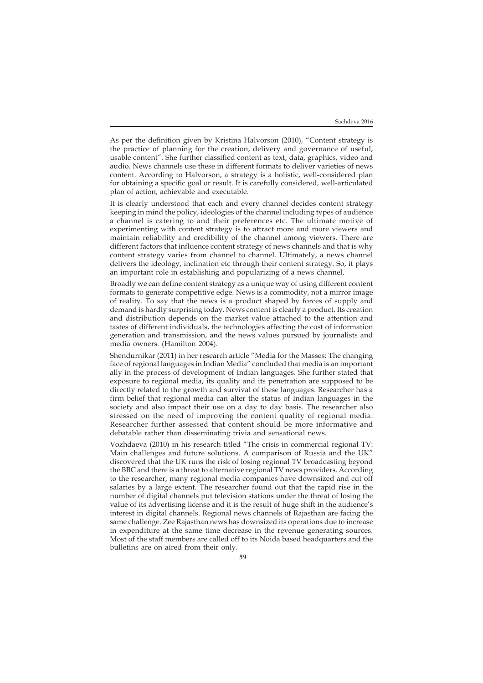As per the definition given by Kristina Halvorson (2010), "Content strategy is the practice of planning for the creation, delivery and governance of useful, usable content". She further classified content as text, data, graphics, video and audio. News channels use these in different formats to deliver varieties of news content. According to Halvorson, a strategy is a holistic, well-considered plan for obtaining a specific goal or result. It is carefully considered, well-articulated plan of action, achievable and executable.

It is clearly understood that each and every channel decides content strategy keeping in mind the policy, ideologies of the channel including types of audience a channel is catering to and their preferences etc. The ultimate motive of experimenting with content strategy is to attract more and more viewers and maintain reliability and credibility of the channel among viewers. There are different factors that influence content strategy of news channels and that is why content strategy varies from channel to channel. Ultimately, a news channel delivers the ideology, inclination etc through their content strategy. So, it plays an important role in establishing and popularizing of a news channel.

Broadly we can define content strategy as a unique way of using different content formats to generate competitive edge. News is a commodity, not a mirror image of reality. To say that the news is a product shaped by forces of supply and demand is hardly surprising today. News content is clearly a product. Its creation and distribution depends on the market value attached to the attention and tastes of different individuals, the technologies affecting the cost of information generation and transmission, and the news values pursued by journalists and media owners. (Hamilton 2004).

Shendurnikar (2011) in her research article "Media for the Masses: The changing face of regional languages in Indian Media" concluded that media is an important ally in the process of development of Indian languages. She further stated that exposure to regional media, its quality and its penetration are supposed to be directly related to the growth and survival of these languages. Researcher has a firm belief that regional media can alter the status of Indian languages in the society and also impact their use on a day to day basis. The researcher also stressed on the need of improving the content quality of regional media. Researcher further assessed that content should be more informative and debatable rather than disseminating trivia and sensational news.

Vozhdaeva (2010) in his research titled "The crisis in commercial regional TV: Main challenges and future solutions. A comparison of Russia and the UK" discovered that the UK runs the risk of losing regional TV broadcasting beyond the BBC and there is a threat to alternative regional TV news providers. According to the researcher, many regional media companies have downsized and cut off salaries by a large extent. The researcher found out that the rapid rise in the number of digital channels put television stations under the threat of losing the value of its advertising license and it is the result of huge shift in the audience's interest in digital channels. Regional news channels of Rajasthan are facing the same challenge. Zee Rajasthan news has downsized its operations due to increase in expenditure at the same time decrease in the revenue generating sources. Most of the staff members are called off to its Noida based headquarters and the bulletins are on aired from their only.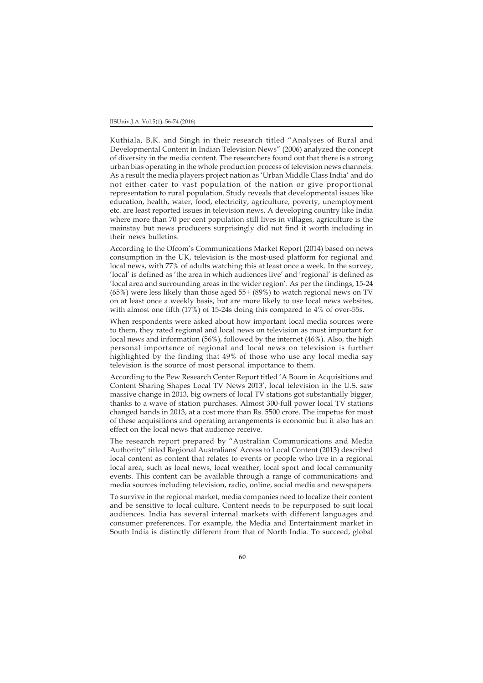### IISUniv.J.A. Vol.5(1), 56-74 (2016)

Kuthiala, B.K. and Singh in their research titled "Analyses of Rural and Developmental Content in Indian Television News" (2006) analyzed the concept of diversity in the media content. The researchers found out that there is a strong urban bias operating in the whole production process of television news channels. As a result the media players project nation as 'Urban Middle Class India' and do not either cater to vast population of the nation or give proportional representation to rural population. Study reveals that developmental issues like education, health, water, food, electricity, agriculture, poverty, unemployment etc. are least reported issues in television news. A developing country like India where more than 70 per cent population still lives in villages, agriculture is the mainstay but news producers surprisingly did not find it worth including in their news bulletins.

According to the Ofcom's Communications Market Report (2014) based on news consumption in the UK, television is the most-used platform for regional and local news, with 77% of adults watching this at least once a week. In the survey, 'local' is defined as 'the area in which audiences live' and 'regional' is defined as 'local area and surrounding areas in the wider region'. As per the findings, 15-24 (65%) were less likely than those aged  $55+ (89%)$  to watch regional news on TV on at least once a weekly basis, but are more likely to use local news websites, with almost one fifth (17%) of 15-24s doing this compared to 4% of over-55s.

When respondents were asked about how important local media sources were to them, they rated regional and local news on television as most important for local news and information (56%), followed by the internet (46%). Also, the high personal importance of regional and local news on television is further highlighted by the finding that 49% of those who use any local media say television is the source of most personal importance to them.

According to the Pew Research Center Report titled 'A Boom in Acquisitions and Content Sharing Shapes Local TV News 2013', local television in the U.S. saw massive change in 2013, big owners of local TV stations got substantially bigger, thanks to a wave of station purchases. Almost 300-full power local TV stations changed hands in 2013, at a cost more than Rs. 5500 crore. The impetus for most of these acquisitions and operating arrangements is economic but it also has an effect on the local news that audience receive.

The research report prepared by "Australian Communications and Media Authority" titled Regional Australians' Access to Local Content (2013) described local content as content that relates to events or people who live in a regional local area, such as local news, local weather, local sport and local community events. This content can be available through a range of communications and media sources including television, radio, online, social media and newspapers.

To survive in the regional market, media companies need to localize their content and be sensitive to local culture. Content needs to be repurposed to suit local audiences. India has several internal markets with different languages and consumer preferences. For example, the Media and Entertainment market in South India is distinctly different from that of North India. To succeed, global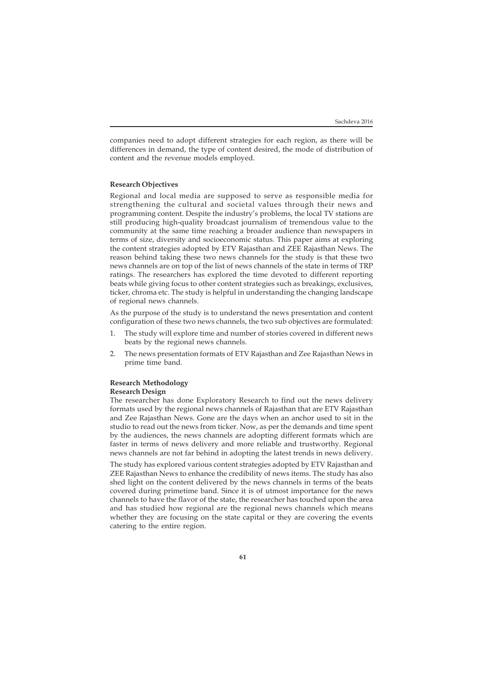companies need to adopt different strategies for each region, as there will be differences in demand, the type of content desired, the mode of distribution of content and the revenue models employed.

# **Research Objectives**

Regional and local media are supposed to serve as responsible media for strengthening the cultural and societal values through their news and programming content. Despite the industry's problems, the local TV stations are still producing high-quality broadcast journalism of tremendous value to the community at the same time reaching a broader audience than newspapers in terms of size, diversity and socioeconomic status. This paper aims at exploring the content strategies adopted by ETV Rajasthan and ZEE Rajasthan News. The reason behind taking these two news channels for the study is that these two news channels are on top of the list of news channels of the state in terms of TRP ratings. The researchers has explored the time devoted to different reporting beats while giving focus to other content strategies such as breakings, exclusives, ticker, chroma etc. The study is helpful in understanding the changing landscape of regional news channels.

As the purpose of the study is to understand the news presentation and content configuration of these two news channels, the two sub objectives are formulated:

- 1. The study will explore time and number of stories covered in different news beats by the regional news channels.
- 2. The news presentation formats of ETV Rajasthan and Zee Rajasthan News in prime time band.

### **Research Methodology Research Design**

The researcher has done Exploratory Research to find out the news delivery formats used by the regional news channels of Rajasthan that are ETV Rajasthan and Zee Rajasthan News. Gone are the days when an anchor used to sit in the studio to read out the news from ticker. Now, as per the demands and time spent by the audiences, the news channels are adopting different formats which are faster in terms of news delivery and more reliable and trustworthy. Regional news channels are not far behind in adopting the latest trends in news delivery.

The study has explored various content strategies adopted by ETV Rajasthan and ZEE Rajasthan News to enhance the credibility of news items. The study has also shed light on the content delivered by the news channels in terms of the beats covered during primetime band. Since it is of utmost importance for the news channels to have the flavor of the state, the researcher has touched upon the area and has studied how regional are the regional news channels which means whether they are focusing on the state capital or they are covering the events catering to the entire region.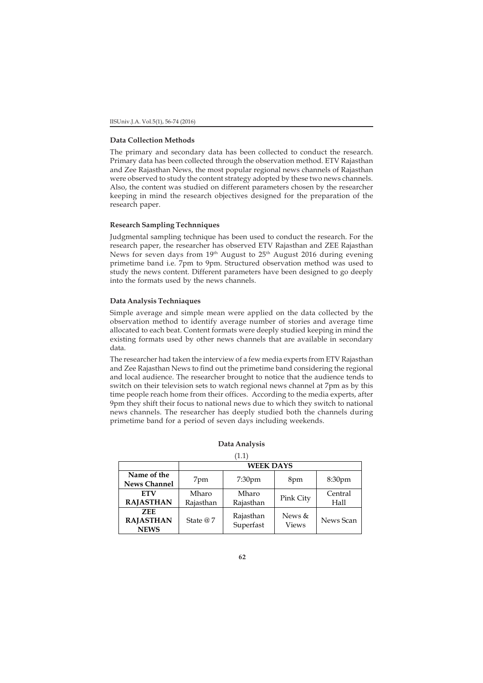### **Data Collection Methods**

The primary and secondary data has been collected to conduct the research. Primary data has been collected through the observation method. ETV Rajasthan and Zee Rajasthan News, the most popular regional news channels of Rajasthan were observed to study the content strategy adopted by these two news channels. Also, the content was studied on different parameters chosen by the researcher keeping in mind the research objectives designed for the preparation of the research paper.

# **Research Sampling Technniques**

Judgmental sampling technique has been used to conduct the research. For the research paper, the researcher has observed ETV Rajasthan and ZEE Rajasthan News for seven days from  $19<sup>th</sup>$  August to  $25<sup>th</sup>$  August 2016 during evening primetime band i.e. 7pm to 9pm. Structured observation method was used to study the news content. Different parameters have been designed to go deeply into the formats used by the news channels.

# **Data Analysis Techniaques**

Simple average and simple mean were applied on the data collected by the observation method to identify average number of stories and average time allocated to each beat. Content formats were deeply studied keeping in mind the existing formats used by other news channels that are available in secondary data.

The researcher had taken the interview of a few media experts from ETV Rajasthan and Zee Rajasthan News to find out the primetime band considering the regional and local audience. The researcher brought to notice that the audience tends to switch on their television sets to watch regional news channel at 7pm as by this time people reach home from their offices. According to the media experts, after 9pm they shift their focus to national news due to which they switch to national news channels. The researcher has deeply studied both the channels during primetime band for a period of seven days including weekends.

| Data Analysis |  |
|---------------|--|
|               |  |

| 1.1 |  |
|-----|--|
|     |  |

|                                               |                    | <b>WEEK DAYS</b>       |                        |                    |  |  |  |  |  |  |  |
|-----------------------------------------------|--------------------|------------------------|------------------------|--------------------|--|--|--|--|--|--|--|
| Name of the<br><b>News Channel</b>            | 7pm                | 7:30 <sub>pm</sub>     | 8pm                    | 8:30 <sub>pm</sub> |  |  |  |  |  |  |  |
| <b>FTV</b><br><b>RAJASTHAN</b>                | Mharo<br>Rajasthan | Mharo<br>Rajasthan     | Pink City              | Central<br>Hall    |  |  |  |  |  |  |  |
| <b>ZEE</b><br><b>RAJASTHAN</b><br><b>NEWS</b> | State @7           | Rajasthan<br>Superfast | News &<br><b>Views</b> | News Scan          |  |  |  |  |  |  |  |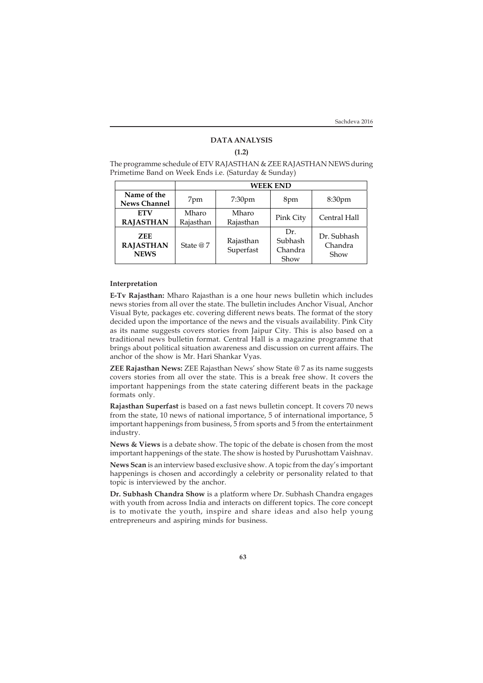# **DATA ANALYSIS**

## **(1.2)**

The programme schedule of ETV RAJASTHAN & ZEE RAJASTHAN NEWS during Primetime Band on Week Ends i.e. (Saturday & Sunday)

|                                               |                           | <b>WEEK END</b>        |                                   |                                |  |  |  |  |  |  |  |  |
|-----------------------------------------------|---------------------------|------------------------|-----------------------------------|--------------------------------|--|--|--|--|--|--|--|--|
| Name of the<br><b>News Channel</b>            | 7:30 <sub>pm</sub><br>7pm |                        | 8pm                               | 8:30 <sub>pm</sub>             |  |  |  |  |  |  |  |  |
| <b>ETV</b><br><b>RAJASTHAN</b>                | Mharo<br>Rajasthan        | Mharo<br>Rajasthan     | Pink City                         | Central Hall                   |  |  |  |  |  |  |  |  |
| <b>ZEE</b><br><b>RAJASTHAN</b><br><b>NEWS</b> | State @7                  | Rajasthan<br>Superfast | Dr.<br>Subhash<br>Chandra<br>Show | Dr. Subhash<br>Chandra<br>Show |  |  |  |  |  |  |  |  |

### **Interpretation**

**E-Tv Rajasthan:** Mharo Rajasthan is a one hour news bulletin which includes news stories from all over the state. The bulletin includes Anchor Visual, Anchor Visual Byte, packages etc. covering different news beats. The format of the story decided upon the importance of the news and the visuals availability. Pink City as its name suggests covers stories from Jaipur City. This is also based on a traditional news bulletin format. Central Hall is a magazine programme that brings about political situation awareness and discussion on current affairs. The anchor of the show is Mr. Hari Shankar Vyas.

**ZEE Rajasthan News:** ZEE Rajasthan News' show State @ 7 as its name suggests covers stories from all over the state. This is a break free show. It covers the important happenings from the state catering different beats in the package formats only.

**Rajasthan Superfast** is based on a fast news bulletin concept. It covers 70 news from the state, 10 news of national importance, 5 of international importance, 5 important happenings from business, 5 from sports and 5 from the entertainment industry.

**News & Views** is a debate show. The topic of the debate is chosen from the most important happenings of the state. The show is hosted by Purushottam Vaishnav.

**News Scan** is an interview based exclusive show. A topic from the day's important happenings is chosen and accordingly a celebrity or personality related to that topic is interviewed by the anchor.

**Dr. Subhash Chandra Show** is a platform where Dr. Subhash Chandra engages with youth from across India and interacts on different topics. The core concept is to motivate the youth, inspire and share ideas and also help young entrepreneurs and aspiring minds for business.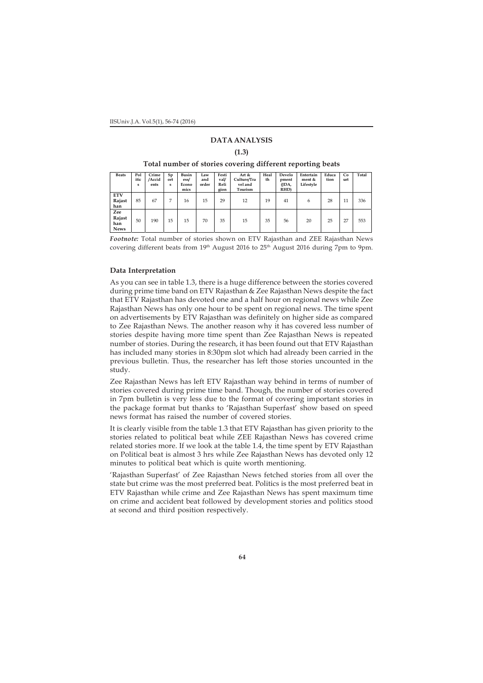IISUniv.J.A. Vol.5(1), 56-74 (2016)

# **DATA ANALYSIS**

**(1.3)**

**Total number of stories covering different reporting beats**

| <b>Beats</b>                        | Pol<br>itic<br>s | Crime<br>/Accid<br>ents | Sp<br>ort<br>s | Busin<br>ess/<br>Econo<br>mics | Law<br>and<br>order | Festi<br>val/<br>Reli<br>gion | Art &<br>Culture/Tra<br>vel and<br>Tourism | Heal<br>th | Develo<br>pment<br>(JDA,<br>RHD) | Entertain<br>ment &<br>Lifestyle | Educa<br>tion | Co<br>urt | Total |
|-------------------------------------|------------------|-------------------------|----------------|--------------------------------|---------------------|-------------------------------|--------------------------------------------|------------|----------------------------------|----------------------------------|---------------|-----------|-------|
| <b>ETV</b><br>Rajast<br>han         | 85               | 67                      |                | 16                             | 15                  | 29                            | 12                                         | 19         | 41                               | 6                                | 28            | 11        | 336   |
| Zee<br>Rajast<br>han<br><b>News</b> | 50               | 190                     | 15             | 15                             | 70                  | 35                            | 15                                         | 35         | 56                               | 20                               | 25            | 27        | 553   |

*Footnote:* Total number of stories shown on ETV Rajasthan and ZEE Rajasthan News covering different beats from 19<sup>th</sup> August 2016 to 25<sup>th</sup> August 2016 during 7pm to 9pm.

# **Data Interpretation**

As you can see in table 1.3, there is a huge difference between the stories covered during prime time band on ETV Rajasthan & Zee Rajasthan News despite the fact that ETV Rajasthan has devoted one and a half hour on regional news while Zee Rajasthan News has only one hour to be spent on regional news. The time spent on advertisements by ETV Rajasthan was definitely on higher side as compared to Zee Rajasthan News. The another reason why it has covered less number of stories despite having more time spent than Zee Rajasthan News is repeated number of stories. During the research, it has been found out that ETV Rajasthan has included many stories in 8:30pm slot which had already been carried in the previous bulletin. Thus, the researcher has left those stories uncounted in the study.

Zee Rajasthan News has left ETV Rajasthan way behind in terms of number of stories covered during prime time band. Though, the number of stories covered in 7pm bulletin is very less due to the format of covering important stories in the package format but thanks to 'Rajasthan Superfast' show based on speed news format has raised the number of covered stories.

It is clearly visible from the table 1.3 that ETV Rajasthan has given priority to the stories related to political beat while ZEE Rajasthan News has covered crime related stories more. If we look at the table 1.4, the time spent by ETV Rajasthan on Political beat is almost 3 hrs while Zee Rajasthan News has devoted only 12 minutes to political beat which is quite worth mentioning.

'Rajasthan Superfast' of Zee Rajasthan News fetched stories from all over the state but crime was the most preferred beat. Politics is the most preferred beat in ETV Rajasthan while crime and Zee Rajasthan News has spent maximum time on crime and accident beat followed by development stories and politics stood at second and third position respectively.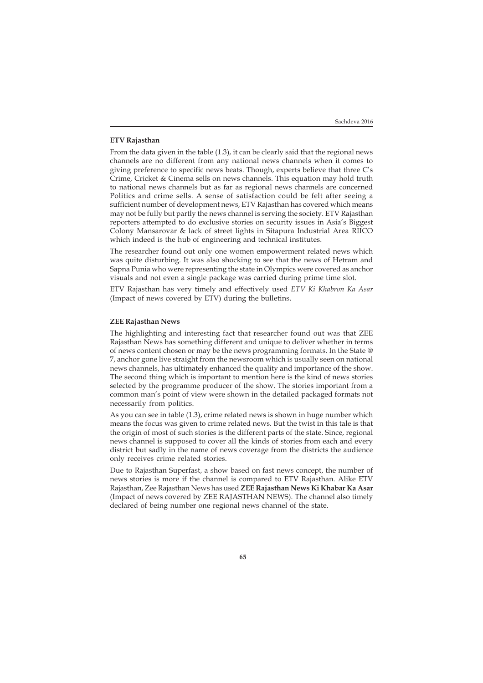# **ETV Rajasthan**

From the data given in the table (1.3), it can be clearly said that the regional news channels are no different from any national news channels when it comes to giving preference to specific news beats. Though, experts believe that three C's Crime, Cricket & Cinema sells on news channels. This equation may hold truth to national news channels but as far as regional news channels are concerned Politics and crime sells. A sense of satisfaction could be felt after seeing a sufficient number of development news, ETV Rajasthan has covered which means may not be fully but partly the news channel is serving the society. ETV Rajasthan reporters attempted to do exclusive stories on security issues in Asia's Biggest Colony Mansarovar & lack of street lights in Sitapura Industrial Area RIICO which indeed is the hub of engineering and technical institutes.

The researcher found out only one women empowerment related news which was quite disturbing. It was also shocking to see that the news of Hetram and Sapna Punia who were representing the state in Olympics were covered as anchor visuals and not even a single package was carried during prime time slot.

ETV Rajasthan has very timely and effectively used *ETV Ki Khabron Ka Asar* (Impact of news covered by ETV) during the bulletins.

### **ZEE Rajasthan News**

The highlighting and interesting fact that researcher found out was that ZEE Rajasthan News has something different and unique to deliver whether in terms of news content chosen or may be the news programming formats. In the State @ 7, anchor gone live straight from the newsroom which is usually seen on national news channels, has ultimately enhanced the quality and importance of the show. The second thing which is important to mention here is the kind of news stories selected by the programme producer of the show. The stories important from a common man's point of view were shown in the detailed packaged formats not necessarily from politics.

As you can see in table (1.3), crime related news is shown in huge number which means the focus was given to crime related news. But the twist in this tale is that the origin of most of such stories is the different parts of the state. Since, regional news channel is supposed to cover all the kinds of stories from each and every district but sadly in the name of news coverage from the districts the audience only receives crime related stories.

Due to Rajasthan Superfast, a show based on fast news concept, the number of news stories is more if the channel is compared to ETV Rajasthan. Alike ETV Rajasthan, Zee Rajasthan News has used **ZEE Rajasthan News Ki Khabar Ka Asar** (Impact of news covered by ZEE RAJASTHAN NEWS). The channel also timely declared of being number one regional news channel of the state.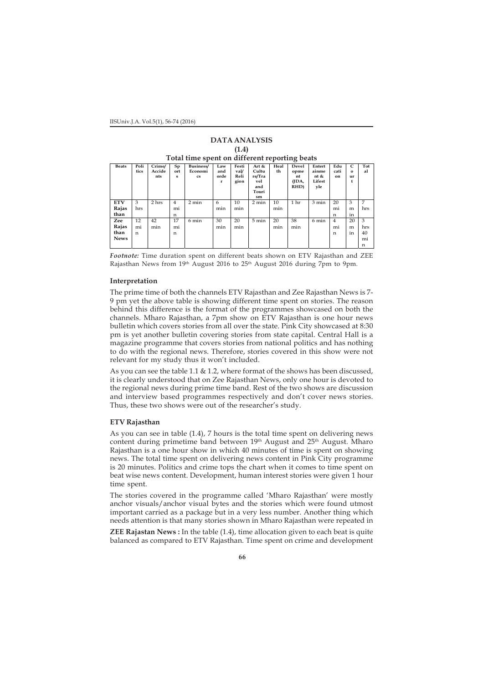#### IISUniv.J.A. Vol.5(1), 56-74 (2016)

|              | 11.IJ                                         |                         |                |                                   |                                    |                               |                                                       |            |                                             |                                          |                   |                           |           |  |  |
|--------------|-----------------------------------------------|-------------------------|----------------|-----------------------------------|------------------------------------|-------------------------------|-------------------------------------------------------|------------|---------------------------------------------|------------------------------------------|-------------------|---------------------------|-----------|--|--|
|              | Total time spent on different reporting beats |                         |                |                                   |                                    |                               |                                                       |            |                                             |                                          |                   |                           |           |  |  |
| <b>Beats</b> | Poli<br>tics                                  | Crime/<br>Accide<br>nts | Sp<br>ort<br>s | Business/<br>Economi<br><b>CS</b> | Law<br>and<br>orde<br>$\mathbf{r}$ | Festi<br>val/<br>Reli<br>gion | Art &<br>Cultu<br>re/Tra<br>vel<br>and<br>Touri<br>sm | Heal<br>th | <b>Devel</b><br>opme<br>nt<br>(JDA,<br>RHD) | Entert<br>ainme<br>nt &<br>Lifest<br>vle | Edu<br>cati<br>on | C<br>$\Omega$<br>111<br>t | Tot<br>al |  |  |
| <b>ETV</b>   | 3                                             | 2 hrs                   | $\overline{4}$ | $2 \text{ min}$                   | 6                                  | 10                            | 2 min                                                 | 10         | 1 <sub>hr</sub>                             | 3 min                                    | 20                | 3                         | 7         |  |  |
| Rajas        | hrs                                           |                         | mi             |                                   | min                                | min                           |                                                       | min        |                                             |                                          | mi                | m                         | hrs       |  |  |
| than         |                                               |                         | n              |                                   |                                    |                               |                                                       |            |                                             |                                          | n                 | in                        |           |  |  |
| Zee          | 12                                            | 42                      | 17             | 6 min                             | 30                                 | 20                            | 5 min                                                 | 20         | 38                                          | 6 min                                    | 4                 | 20                        | 3         |  |  |
| Rajas        | mi                                            | min                     | mi             |                                   | min                                | min                           |                                                       | min        | min                                         |                                          | mi                | m                         | hrs       |  |  |
| than         | n                                             |                         | n              |                                   |                                    |                               |                                                       |            |                                             |                                          | n                 | in                        | 40        |  |  |
| <b>News</b>  |                                               |                         |                |                                   |                                    |                               |                                                       |            |                                             |                                          |                   |                           | mi        |  |  |
|              |                                               |                         |                |                                   |                                    |                               |                                                       |            |                                             |                                          |                   |                           | n         |  |  |

**DATA ANALYSIS (1.4)**

*Footnote:* Time duration spent on different beats shown on ETV Rajasthan and ZEE Rajasthan News from 19th August 2016 to 25<sup>th</sup> August 2016 during 7pm to 9pm.

### **Interpretation**

The prime time of both the channels ETV Rajasthan and Zee Rajasthan News is 7- 9 pm yet the above table is showing different time spent on stories. The reason behind this difference is the format of the programmes showcased on both the channels. Mharo Rajasthan, a 7pm show on ETV Rajasthan is one hour news bulletin which covers stories from all over the state. Pink City showcased at 8:30 pm is yet another bulletin covering stories from state capital. Central Hall is a magazine programme that covers stories from national politics and has nothing to do with the regional news. Therefore, stories covered in this show were not relevant for my study thus it won't included.

As you can see the table 1.1 & 1.2, where format of the shows has been discussed, it is clearly understood that on Zee Rajasthan News, only one hour is devoted to the regional news during prime time band. Rest of the two shows are discussion and interview based programmes respectively and don't cover news stories. Thus, these two shows were out of the researcher's study.

### **ETV Rajasthan**

As you can see in table (1.4), 7 hours is the total time spent on delivering news content during primetime band between 19<sup>th</sup> August and 25<sup>th</sup> August. Mharo Rajasthan is a one hour show in which 40 minutes of time is spent on showing news. The total time spent on delivering news content in Pink City programme is 20 minutes. Politics and crime tops the chart when it comes to time spent on beat wise news content. Development, human interest stories were given 1 hour time spent.

The stories covered in the programme called 'Mharo Rajasthan' were mostly anchor visuals/anchor visual bytes and the stories which were found utmost important carried as a package but in a very less number. Another thing which needs attention is that many stories shown in Mharo Rajasthan were repeated in

**ZEE Rajastan News :** In the table (1.4), time allocation given to each beat is quite balanced as compared to ETV Rajasthan. Time spent on crime and development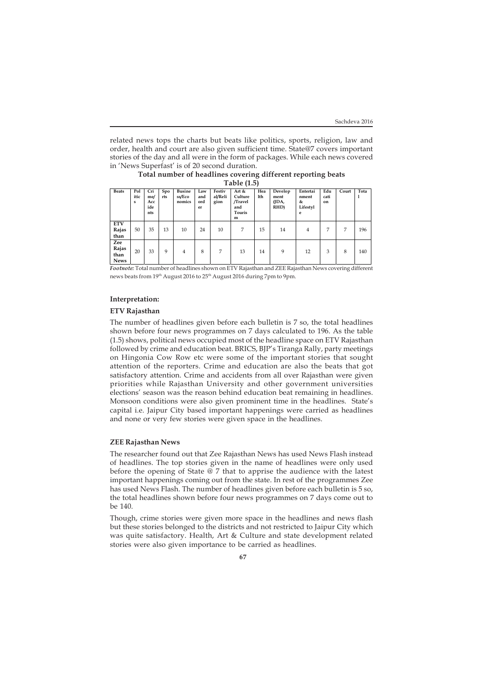related news tops the charts but beats like politics, sports, religion, law and order, health and court are also given sufficient time. State@7 covers important stories of the day and all were in the form of packages. While each news covered in 'News Superfast' is of 20 second duration.

**Total number of headlines covering different reporting beats Table (1.5)**

| <b>Beats</b>                        | Pol<br>itic<br>s | Cri<br>me/<br>Acc<br>ide<br>nts | Spo<br>rts | <b>Busine</b><br>ss/Eco<br>nomics | Law<br>and<br>ord<br>er | Festiv<br>al/Reli<br>gion | Art &<br>Culture<br>/Travel<br>and<br>Touris<br>m | Hea<br>lth | Develop<br>ment<br>(JDA,<br>RHD) | Entertai<br>nment<br>&<br>Lifestyl<br>e | Edu<br>cati<br>on | Court | Tota |
|-------------------------------------|------------------|---------------------------------|------------|-----------------------------------|-------------------------|---------------------------|---------------------------------------------------|------------|----------------------------------|-----------------------------------------|-------------------|-------|------|
| <b>ETV</b><br>Rajas<br>than         | 50               | 35                              | 13         | 10                                | 24                      | 10                        | 7                                                 | 15         | 14                               | 4                                       | 7                 | 7     | 196  |
| Zee<br>Rajas<br>than<br><b>News</b> | 20               | 33                              | 9          | $\overline{4}$                    | 8                       | 7                         | 13                                                | 14         | 9                                | 12                                      | 3                 | 8     | 140  |

*Footnote:* Total number of headlines shown on ETV Rajasthan and ZEE Rajasthan News covering different news beats from 19th August 2016 to 25th August 2016 during 7pm to 9pm.

# **Interpretation:**

# **ETV Rajasthan**

The number of headlines given before each bulletin is 7 so, the total headlines shown before four news programmes on 7 days calculated to 196. As the table (1.5) shows, political news occupied most of the headline space on ETV Rajasthan followed by crime and education beat. BRICS, BJP's Tiranga Rally, party meetings on Hingonia Cow Row etc were some of the important stories that sought attention of the reporters. Crime and education are also the beats that got satisfactory attention. Crime and accidents from all over Rajasthan were given priorities while Rajasthan University and other government universities elections' season was the reason behind education beat remaining in headlines. Monsoon conditions were also given prominent time in the headlines. State's capital i.e. Jaipur City based important happenings were carried as headlines and none or very few stories were given space in the headlines.

# **ZEE Rajasthan News**

The researcher found out that Zee Rajasthan News has used News Flash instead of headlines. The top stories given in the name of headlines were only used before the opening of State  $\ddot{\varphi}$  7 that to apprise the audience with the latest important happenings coming out from the state. In rest of the programmes Zee has used News Flash. The number of headlines given before each bulletin is 5 so, the total headlines shown before four news programmes on 7 days come out to be 140.

Though, crime stories were given more space in the headlines and news flash but these stories belonged to the districts and not restricted to Jaipur City which was quite satisfactory. Health, Art & Culture and state development related stories were also given importance to be carried as headlines.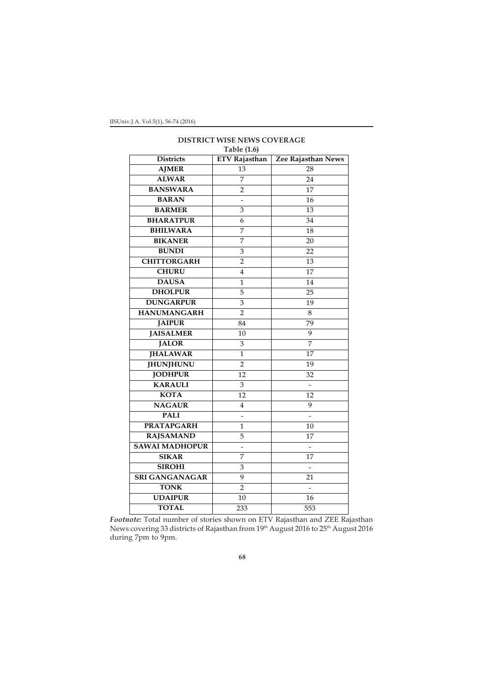|                       | 1401e(1.0)           |                          |
|-----------------------|----------------------|--------------------------|
| <b>Districts</b>      | <b>ETV Rajasthan</b> | Zee Rajasthan News       |
| <b>AJMER</b>          | $\overline{1}3$      | 28                       |
| <b>ALWAR</b>          | 7                    | 24                       |
| <b>BANSWARA</b>       | $\overline{2}$       | 17                       |
| <b>BARAN</b>          | -                    | 16                       |
| <b>BARMER</b>         | 3                    | 13                       |
| <b>BHARATPUR</b>      | 6                    | 34                       |
| <b>BHILWARA</b>       | 7                    | 18                       |
| <b>BIKANER</b>        | 7                    | 20                       |
| <b>BUNDI</b>          | 3                    | 22                       |
| <b>CHITTORGARH</b>    | $\overline{2}$       | 13                       |
| <b>CHURU</b>          | 4                    | 17                       |
| <b>DAUSA</b>          | 1                    | 14                       |
| <b>DHOLPUR</b>        | 5                    | 25                       |
| <b>DUNGARPUR</b>      | 3                    | 19                       |
| <b>HANUMANGARH</b>    | $\overline{2}$       | $\,8\,$                  |
| <b>JAIPUR</b>         | 84                   | 79                       |
| <b>JAISALMER</b>      | 10                   | 9                        |
| <b>JALOR</b>          | 3                    | $\overline{7}$           |
| <b>JHALAWAR</b>       | $\mathbf{1}$         | 17                       |
| <b>JHUNJHUNU</b>      | $\overline{2}$       | 19                       |
| <b>JODHPUR</b>        | 12                   | 32                       |
| <b>KARAULI</b>        | 3                    | $\overline{\phantom{a}}$ |
| <b>KOTA</b>           | 12                   | 12                       |
| <b>NAGAUR</b>         | 4                    | 9                        |
| <b>PALI</b>           |                      |                          |
| <b>PRATAPGARH</b>     | 1                    | $10 \,$                  |
| <b>RAJSAMAND</b>      | 5                    | 17                       |
| <b>SAWAI MADHOPUR</b> | $\overline{a}$       |                          |
| <b>SIKAR</b>          | 7                    | 17                       |
| <b>SIROHI</b>         | 3                    |                          |
| <b>SRI GANGANAGAR</b> | 9                    | 21                       |
| <b>TONK</b>           | $\overline{2}$       |                          |
| <b>UDAIPUR</b>        | 10                   | 16                       |
| <b>TOTAL</b>          | 233                  | 553                      |

# **DISTRICT WISE NEWS COVERAGE Table (1.6)**

*Footnote:* Total number of stories shown on ETV Rajasthan and ZEE Rajasthan News covering 33 districts of Rajasthan from  $19^{\rm th}$  August 2016 to 25 $^{\rm th}$  August 2016 during 7pm to 9pm.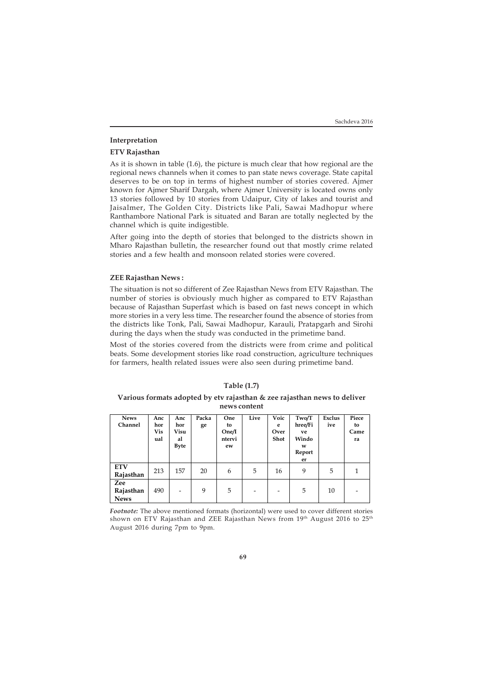# **Interpretation**

### **ETV Rajasthan**

As it is shown in table (1.6), the picture is much clear that how regional are the regional news channels when it comes to pan state news coverage. State capital deserves to be on top in terms of highest number of stories covered. Ajmer known for Ajmer Sharif Dargah, where Ajmer University is located owns only 13 stories followed by 10 stories from Udaipur, City of lakes and tourist and Jaisalmer, The Golden City. Districts like Pali, Sawai Madhopur where Ranthambore National Park is situated and Baran are totally neglected by the channel which is quite indigestible.

After going into the depth of stories that belonged to the districts shown in Mharo Rajasthan bulletin, the researcher found out that mostly crime related stories and a few health and monsoon related stories were covered.

### **ZEE Rajasthan News :**

The situation is not so different of Zee Rajasthan News from ETV Rajasthan. The number of stories is obviously much higher as compared to ETV Rajasthan because of Rajasthan Superfast which is based on fast news concept in which more stories in a very less time. The researcher found the absence of stories from the districts like Tonk, Pali, Sawai Madhopur, Karauli, Pratapgarh and Sirohi during the days when the study was conducted in the primetime band.

Most of the stories covered from the districts were from crime and political beats. Some development stories like road construction, agriculture techniques for farmers, health related issues were also seen during primetime band.

# **Table (1.7)**

# **Various formats adopted by etv rajasthan & zee rajasthan news to deliver news content**

| <b>News</b>    | Anc | Anc                      | Packa | One    | Live | Voic | Two/T   | Exclus | Piece |
|----------------|-----|--------------------------|-------|--------|------|------|---------|--------|-------|
| <b>Channel</b> | hor | hor                      | ge    | to     |      | e    | hree/Fi | ive    | to    |
|                | Vis | Visu                     |       | One/I  |      | Over | ve      |        | Came  |
|                | ual | al                       |       | ntervi |      | Shot | Windo   |        | ra    |
|                |     | Byte                     |       | ew     |      |      | w       |        |       |
|                |     |                          |       |        |      |      | Report  |        |       |
|                |     |                          |       |        |      |      | er      |        |       |
| <b>ETV</b>     |     |                          |       |        |      |      |         |        |       |
| Rajasthan      | 213 | 157                      | 20    | 6      | 5    | 16   | 9       | 5      |       |
| Zee            |     |                          |       |        |      |      |         |        |       |
| Rajasthan      | 490 | $\overline{\phantom{a}}$ | 9     | 5      | -    | -    | 5       | 10     |       |
| <b>News</b>    |     |                          |       |        |      |      |         |        |       |

*Footnote:* The above mentioned formats (horizontal) were used to cover different stories shown on ETV Rajasthan and ZEE Rajasthan News from 19th August 2016 to 25th August 2016 during 7pm to 9pm.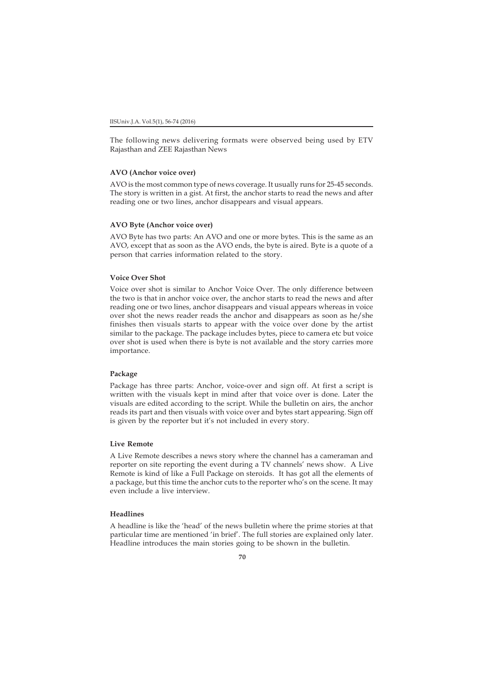The following news delivering formats were observed being used by ETV Rajasthan and ZEE Rajasthan News

# **AVO (Anchor voice over)**

AVO is the most common type of news coverage. It usually runs for 25-45 seconds. The story is written in a gist. At first, the anchor starts to read the news and after reading one or two lines, anchor disappears and visual appears.

# **AVO Byte (Anchor voice over)**

AVO Byte has two parts: An AVO and one or more bytes. This is the same as an AVO, except that as soon as the AVO ends, the byte is aired. Byte is a quote of a person that carries information related to the story.

# **Voice Over Shot**

Voice over shot is similar to Anchor Voice Over. The only difference between the two is that in anchor voice over, the anchor starts to read the news and after reading one or two lines, anchor disappears and visual appears whereas in voice over shot the news reader reads the anchor and disappears as soon as he/she finishes then visuals starts to appear with the voice over done by the artist similar to the package. The package includes bytes, piece to camera etc but voice over shot is used when there is byte is not available and the story carries more importance.

### **Package**

Package has three parts: Anchor, voice-over and sign off. At first a script is written with the visuals kept in mind after that voice over is done. Later the visuals are edited according to the script. While the bulletin on airs, the anchor reads its part and then visuals with voice over and bytes start appearing. Sign off is given by the reporter but it's not included in every story.

# **Live Remote**

A Live Remote describes a news story where the channel has a cameraman and reporter on site reporting the event during a TV channels' news show. A Live Remote is kind of like a Full Package on steroids. It has got all the elements of a package, but this time the anchor cuts to the reporter who's on the scene. It may even include a live interview.

# **Headlines**

A headline is like the 'head' of the news bulletin where the prime stories at that particular time are mentioned 'in brief'. The full stories are explained only later. Headline introduces the main stories going to be shown in the bulletin.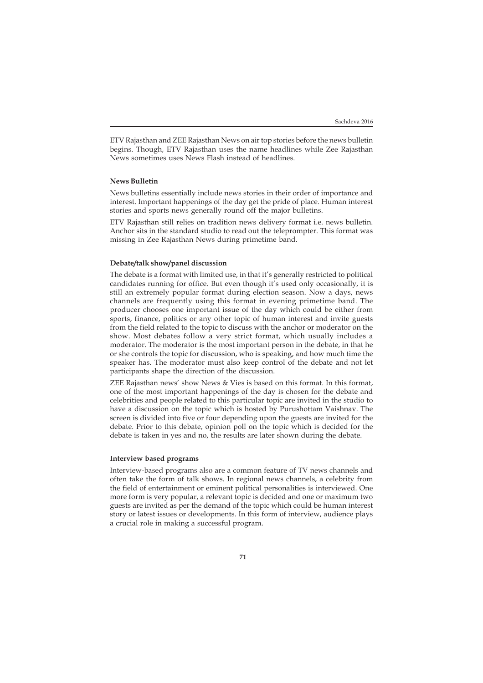ETV Rajasthan and ZEE Rajasthan News on air top stories before the news bulletin begins. Though, ETV Rajasthan uses the name headlines while Zee Rajasthan News sometimes uses News Flash instead of headlines.

# **News Bulletin**

News bulletins essentially include news stories in their order of importance and interest. Important happenings of the day get the pride of place. Human interest stories and sports news generally round off the major bulletins.

ETV Rajasthan still relies on tradition news delivery format i.e. news bulletin. Anchor sits in the standard studio to read out the teleprompter. This format was missing in Zee Rajasthan News during primetime band.

# **Debate/talk show/panel discussion**

The debate is a format with limited use, in that it's generally restricted to political candidates running for office. But even though it's used only occasionally, it is still an extremely popular format during election season. Now a days, news channels are frequently using this format in evening primetime band. The producer chooses one important issue of the day which could be either from sports, finance, politics or any other topic of human interest and invite guests from the field related to the topic to discuss with the anchor or moderator on the show. Most debates follow a very strict format, which usually includes a moderator. The moderator is the most important person in the debate, in that he or she controls the topic for discussion, who is speaking, and how much time the speaker has. The moderator must also keep control of the debate and not let participants shape the direction of the discussion.

ZEE Rajasthan news' show News & Vies is based on this format. In this format, one of the most important happenings of the day is chosen for the debate and celebrities and people related to this particular topic are invited in the studio to have a discussion on the topic which is hosted by Purushottam Vaishnav. The screen is divided into five or four depending upon the guests are invited for the debate. Prior to this debate, opinion poll on the topic which is decided for the debate is taken in yes and no, the results are later shown during the debate.

# **Interview based programs**

Interview-based programs also are a common feature of TV news channels and often take the form of talk shows. In regional news channels, a celebrity from the field of entertainment or eminent political personalities is interviewed. One more form is very popular, a relevant topic is decided and one or maximum two guests are invited as per the demand of the topic which could be human interest story or latest issues or developments. In this form of interview, audience plays a crucial role in making a successful program.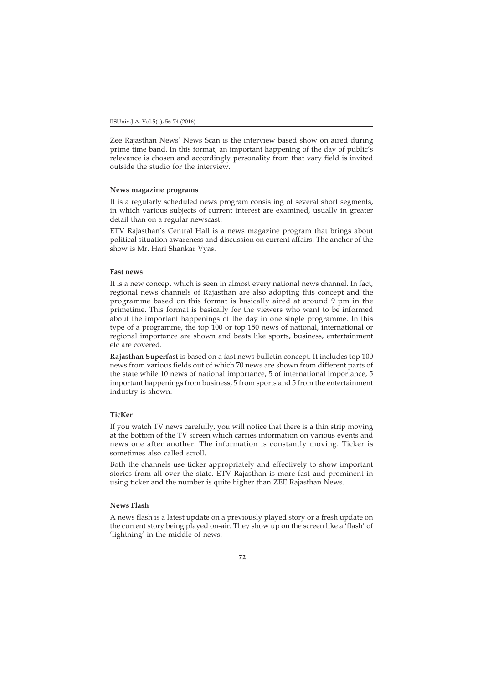Zee Rajasthan News' News Scan is the interview based show on aired during prime time band. In this format, an important happening of the day of public's relevance is chosen and accordingly personality from that vary field is invited outside the studio for the interview.

### **News magazine programs**

It is a regularly scheduled news program consisting of several short segments, in which various subjects of current interest are examined, usually in greater detail than on a regular newscast.

ETV Rajasthan's Central Hall is a news magazine program that brings about political situation awareness and discussion on current affairs. The anchor of the show is Mr. Hari Shankar Vyas.

# **Fast news**

It is a new concept which is seen in almost every national news channel. In fact, regional news channels of Rajasthan are also adopting this concept and the programme based on this format is basically aired at around 9 pm in the primetime. This format is basically for the viewers who want to be informed about the important happenings of the day in one single programme. In this type of a programme, the top 100 or top 150 news of national, international or regional importance are shown and beats like sports, business, entertainment etc are covered.

**Rajasthan Superfast** is based on a fast news bulletin concept. It includes top 100 news from various fields out of which 70 news are shown from different parts of the state while 10 news of national importance, 5 of international importance, 5 important happenings from business, 5 from sports and 5 from the entertainment industry is shown.

# **TicKer**

If you watch TV news carefully, you will notice that there is a thin strip moving at the bottom of the TV screen which carries information on various events and news one after another. The information is constantly moving. Ticker is sometimes also called scroll.

Both the channels use ticker appropriately and effectively to show important stories from all over the state. ETV Rajasthan is more fast and prominent in using ticker and the number is quite higher than ZEE Rajasthan News.

# **News Flash**

A news flash is a latest update on a previously played story or a fresh update on the current story being played on-air. They show up on the screen like a 'flash' of 'lightning' in the middle of news.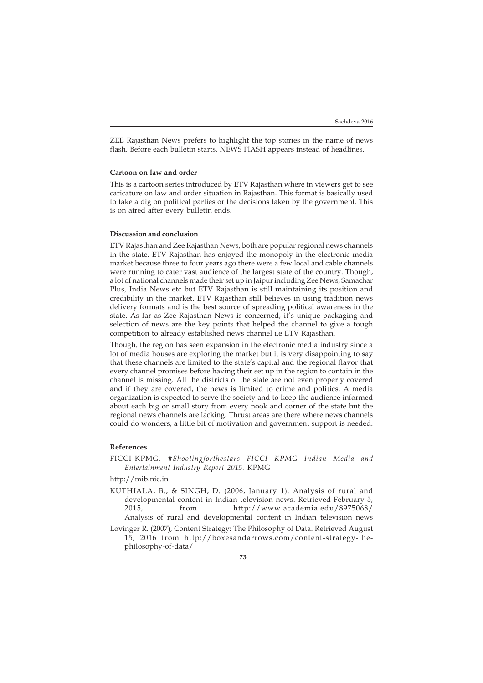ZEE Rajasthan News prefers to highlight the top stories in the name of news flash. Before each bulletin starts, NEWS FIASH appears instead of headlines.

### **Cartoon on law and order**

This is a cartoon series introduced by ETV Rajasthan where in viewers get to see caricature on law and order situation in Rajasthan. This format is basically used to take a dig on political parties or the decisions taken by the government. This is on aired after every bulletin ends.

# **Discussion and conclusion**

ETV Rajasthan and Zee Rajasthan News, both are popular regional news channels in the state. ETV Rajasthan has enjoyed the monopoly in the electronic media market because three to four years ago there were a few local and cable channels were running to cater vast audience of the largest state of the country. Though, a lot of national channels made their set up in Jaipur including Zee News, Samachar Plus, India News etc but ETV Rajasthan is still maintaining its position and credibility in the market. ETV Rajasthan still believes in using tradition news delivery formats and is the best source of spreading political awareness in the state. As far as Zee Rajasthan News is concerned, it's unique packaging and selection of news are the key points that helped the channel to give a tough competition to already established news channel i.e ETV Rajasthan.

Though, the region has seen expansion in the electronic media industry since a lot of media houses are exploring the market but it is very disappointing to say that these channels are limited to the state's capital and the regional flavor that every channel promises before having their set up in the region to contain in the channel is missing. All the districts of the state are not even properly covered and if they are covered, the news is limited to crime and politics. A media organization is expected to serve the society and to keep the audience informed about each big or small story from every nook and corner of the state but the regional news channels are lacking. Thrust areas are there where news channels could do wonders, a little bit of motivation and government support is needed.

# **References**

FICCI-KPMG*. #Shootingforthestars FICCI KPMG Indian Media and Entertainment Industry Report 2015.* KPMG

http://mib.nic.in

- KUTHIALA, B., & SINGH, D. (2006, January 1). Analysis of rural and developmental content in Indian television news. Retrieved February 5, 2015, from http://www.academia.edu/8975068/ Analysis of rural and developmental content in Indian television news
- Lovinger R. (2007), Content Strategy: The Philosophy of Data. Retrieved August 15, 2016 from http://boxesandarrows.com/content-strategy-thephilosophy-of-data/